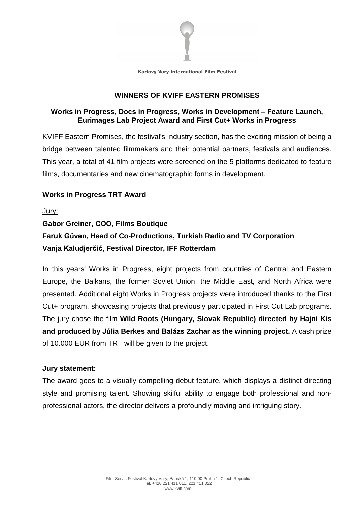

### **WINNERS OF KVIFF EASTERN PROMISES**

# **Works in Progress, Docs in Progress, Works in Development – Feature Launch, Eurimages Lab Project Award and First Cut+ Works in Progress**

KVIFF Eastern Promises, the festival's Industry section, has the exciting mission of being a bridge between talented filmmakers and their potential partners, festivals and audiences. This year, a total of 41 film projects were screened on the 5 platforms dedicated to feature films, documentaries and new cinematographic forms in development.

# **Works in Progress TRT Award**

Jury:

# **Gabor Greiner, COO, Films Boutique Faruk Güven, Head of Co-Productions, Turkish Radio and TV Corporation Vanja Kaludjerčić, Festival Director, IFF Rotterdam**

In this years' Works in Progress, eight projects from countries of Central and Eastern Europe, the Balkans, the former Soviet Union, the Middle East, and North Africa were presented. Additional eight Works in Progress projects were introduced thanks to the First Cut+ program, showcasing projects that previously participated in First Cut Lab programs. The jury chose the film **Wild Roots (Hungary, Slovak Republic) directed by Hajni Kis and produced by Júlia Berkes and Balázs Zachar as the winning project.** A cash prize of 10.000 EUR from TRT will be given to the project.

# **Jury statement:**

The award goes to a visually compelling debut feature, which displays a distinct directing style and promising talent. Showing skilful ability to engage both professional and nonprofessional actors, the director delivers a profoundly moving and intriguing story.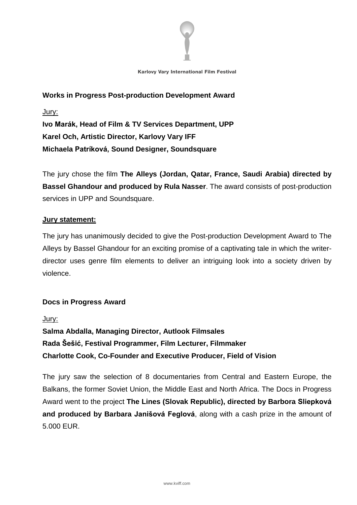

**Works in Progress Post-production Development Award** Jury: **Ivo Marák, Head of Film & TV Services Department, UPP Karel Och, Artistic Director, Karlovy Vary IFF Michaela Patríková, Sound Designer, Soundsquare**

The jury chose the film **The Alleys (Jordan, Qatar, France, Saudi Arabia) directed by Bassel Ghandour and produced by Rula Nasser**. The award consists of post-production services in UPP and Soundsquare.

### **Jury statement:**

The jury has unanimously decided to give the Post-production Development Award to The Alleys by Bassel Ghandour for an exciting promise of a captivating tale in which the writerdirector uses genre film elements to deliver an intriguing look into a society driven by violence.

# **Docs in Progress Award**

Jury:

**Salma Abdalla, Managing Director, Autlook Filmsales Rada Šešić, Festival Programmer, Film Lecturer, Filmmaker Charlotte Cook, Co-Founder and Executive Producer, Field of Vision**

The jury saw the selection of 8 documentaries from Central and Eastern Europe, the Balkans, the former Soviet Union, the Middle East and North Africa. The Docs in Progress Award went to the project **The Lines (Slovak Republic), directed by Barbora Sliepková and produced by Barbara Janišová Feglová**, along with a cash prize in the amount of 5.000 EUR.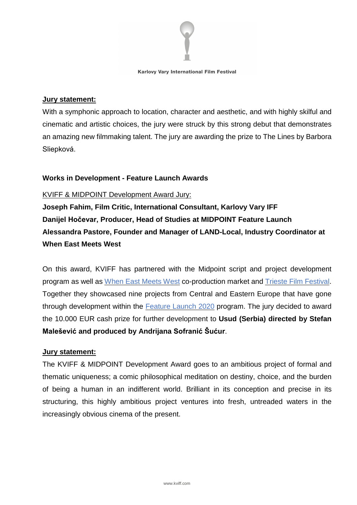

### **Jury statement:**

With a symphonic approach to location, character and aesthetic, and with highly skilful and cinematic and artistic choices, the jury were struck by this strong debut that demonstrates an amazing new filmmaking talent. The jury are awarding the prize to The Lines by Barbora Sliepková.

# **Works in Development - Feature Launch Awards**

### KVIFF & MIDPOINT Development Award Jury:

**Joseph Fahim, Film Critic, International Consultant, Karlovy Vary IFF Danijel Hočevar, Producer, Head of Studies at MIDPOINT Feature Launch Alessandra Pastore, Founder and Manager of LAND-Local, Industry Coordinator at When East Meets West**

On this award, KVIFF has partnered with the Midpoint script and project development program as well as [W](http://www.wemw.it/)hen East [Meets](http://www.wemw.it/) West co-production market and [T](http://www.triestefilmfestival.it/en/)rieste Film [Festival.](http://www.triestefilmfestival.it/en/) Together they showcased nine projects from Central and Eastern Europe that have gone through development within the [Feature](https://www.midpoint-institute.eu/programs/196-midpoint-feature-launch-2020) Launch 2020 program. The jury decided to award the 10.000 EUR cash prize for further development to **Usud (Serbia) directed by Stefan Malešević and produced by Andrijana Sofranić Šućur**.

### **Jury statement:**

The KVIFF & MIDPOINT Development Award goes to an ambitious project of formal and thematic uniqueness; a comic philosophical meditation on destiny, choice, and the burden of being a human in an indifferent world. Brilliant in its conception and precise in its structuring, this highly ambitious project ventures into fresh, untreaded waters in the increasingly obvious cinema of the present.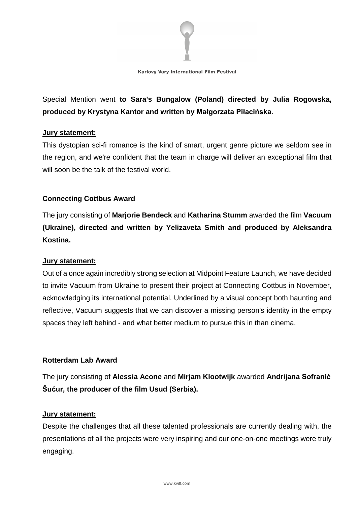

Special Mention went **to Sara's Bungalow (Poland) directed by Julia Rogowska, produced by Krystyna Kantor and written by Małgorzata Piłacińska**.

### **Jury statement:**

This dystopian sci-fi romance is the kind of smart, urgent genre picture we seldom see in the region, and we're confident that the team in charge will deliver an exceptional film that will soon be the talk of the festival world.

# **Connecting Cottbus Award**

The jury consisting of **Marjorie Bendeck** and **Katharina Stumm** awarded the film **Vacuum (Ukraine), directed and written by Yelizaveta Smith and produced by Aleksandra Kostina.**

# **Jury statement:**

Out of a once again incredibly strong selection at Midpoint Feature Launch, we have decided to invite Vacuum from Ukraine to present their project at Connecting Cottbus in November, acknowledging its international potential. Underlined by a visual concept both haunting and reflective, Vacuum suggests that we can discover a missing person's identity in the empty spaces they left behind - and what better medium to pursue this in than cinema.

### **Rotterdam Lab Award**

The jury consisting of **Alessia Acone** and **Mirjam Klootwijk** awarded **Andrijana Sofranić Šućur, the producer of the film Usud (Serbia).**

### **Jury statement:**

Despite the challenges that all these talented professionals are currently dealing with, the presentations of all the projects were very inspiring and our one-on-one meetings were truly engaging.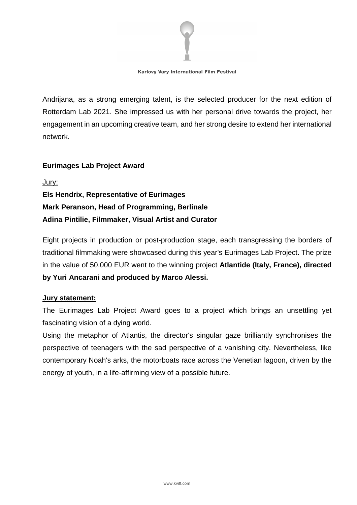

Andrijana, as a strong emerging talent, is the selected producer for the next edition of Rotterdam Lab 2021. She impressed us with her personal drive towards the project, her engagement in an upcoming creative team, and her strong desire to extend her international network.

### **Eurimages Lab Project Award**

Jury: **Els Hendrix, Representative of Eurimages Mark Peranson, Head of Programming, Berlinale Adina Pintilie, Filmmaker, Visual Artist and Curator**

Eight projects in production or post-production stage, each transgressing the borders of traditional filmmaking were showcased during this year's Eurimages Lab Project. The prize in the value of 50.000 EUR went to the winning project **Atlantide (Italy, France), directed by Yuri Ancarani and produced by Marco Alessi.**

### **Jury statement:**

The Eurimages Lab Project Award goes to a project which brings an unsettling yet fascinating vision of a dying world.

Using the metaphor of Atlantis, the director's singular gaze brilliantly synchronises the perspective of teenagers with the sad perspective of a vanishing city. Nevertheless, like contemporary Noah's arks, the motorboats race across the Venetian lagoon, driven by the energy of youth, in a life-affirming view of a possible future.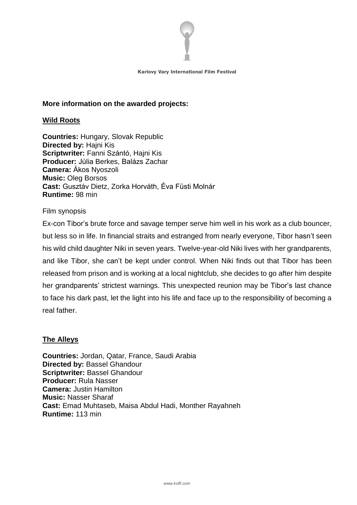

### **More information on the awarded projects:**

### **Wild Roots**

**Countries:** Hungary, Slovak Republic **Directed by:** Hajni Kis **Scriptwriter:** Fanni Szántó, Hajni Kis **Producer:** Júlia Berkes, Balázs Zachar **Camera:** Ákos Nyoszoli **Music:** Oleg Borsos **Cast:** Gusztáv Dietz, Zorka Horváth, Éva Füsti Molnár **Runtime:** 98 min

### Film synopsis

Ex-con Tibor's brute force and savage temper serve him well in his work as a club bouncer, but less so in life. In financial straits and estranged from nearly everyone, Tibor hasn't seen his wild child daughter Niki in seven years. Twelve-year-old Niki lives with her grandparents, and like Tibor, she can't be kept under control. When Niki finds out that Tibor has been released from prison and is working at a local nightclub, she decides to go after him despite her grandparents' strictest warnings. This unexpected reunion may be Tibor's last chance to face his dark past, let the light into his life and face up to the responsibility of becoming a real father.

### **The Alleys**

**Countries:** Jordan, Qatar, France, Saudi Arabia **Directed by:** Bassel Ghandour **Scriptwriter:** Bassel Ghandour **Producer:** Rula Nasser **Camera:** Justin Hamilton **Music:** Nasser Sharaf **Cast:** Emad Muhtaseb, Maisa Abdul Hadi, Monther Rayahneh **Runtime:** 113 min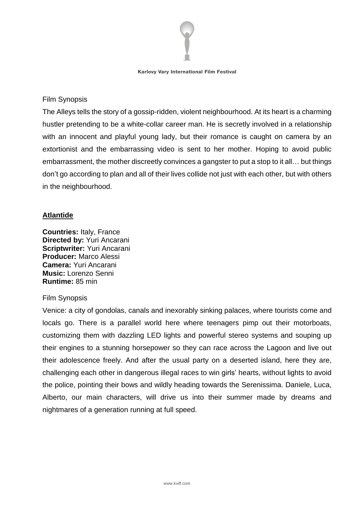

### Film Synopsis

The Alleys tells the story of a gossip-ridden, violent neighbourhood. At its heart is a charming hustler pretending to be a white-collar career man. He is secretly involved in a relationship with an innocent and playful young lady, but their romance is caught on camera by an extortionist and the embarrassing video is sent to her mother. Hoping to avoid public embarrassment, the mother discreetly convinces a gangster to put a stop to it all… but things don't go according to plan and all of their lives collide not just with each other, but with others in the neighbourhood.

# **Atlantide**

**Countries:** Italy, France **Directed by:** Yuri Ancarani **Scriptwriter:** Yuri Ancarani **Producer:** Marco Alessi **Camera:** Yuri Ancarani **Music:** Lorenzo Senni **Runtime:** 85 min

### Film Synopsis

Venice: a city of gondolas, canals and inexorably sinking palaces, where tourists come and locals go. There is a parallel world here where teenagers pimp out their motorboats, customizing them with dazzling LED lights and powerful stereo systems and souping up their engines to a stunning horsepower so they can race across the Lagoon and live out their adolescence freely. And after the usual party on a deserted island, here they are, challenging each other in dangerous illegal races to win girls' hearts, without lights to avoid the police, pointing their bows and wildly heading towards the Serenissima. Daniele, Luca, Alberto, our main characters, will drive us into their summer made by dreams and nightmares of a generation running at full speed.